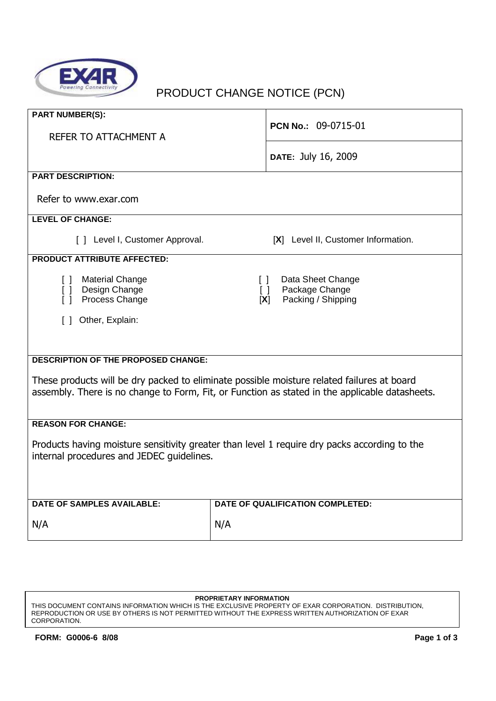

# PRODUCT CHANGE NOTICE (PCN)

| <b>PART NUMBER(S):</b>                                                                                                                                                                       | PCN No.: 09-0715-01                                                                  |  |  |
|----------------------------------------------------------------------------------------------------------------------------------------------------------------------------------------------|--------------------------------------------------------------------------------------|--|--|
| REFER TO ATTACHMENT A                                                                                                                                                                        |                                                                                      |  |  |
|                                                                                                                                                                                              | DATE: July 16, 2009                                                                  |  |  |
| <b>PART DESCRIPTION:</b>                                                                                                                                                                     |                                                                                      |  |  |
| Refer to www.exar.com                                                                                                                                                                        |                                                                                      |  |  |
| <b>LEVEL OF CHANGE:</b>                                                                                                                                                                      |                                                                                      |  |  |
| [ ] Level I, Customer Approval.                                                                                                                                                              | [X] Level II, Customer Information.                                                  |  |  |
| <b>PRODUCT ATTRIBUTE AFFECTED:</b>                                                                                                                                                           |                                                                                      |  |  |
| <b>Material Change</b><br>$\lceil$ $\rceil$<br>Design Change<br>$\begin{bmatrix} 1 \end{bmatrix}$<br>Process Change<br>$\Box$                                                                | Data Sheet Change<br>$\Box$<br>Package Change<br>$\Box$<br>Packing / Shipping<br>[X] |  |  |
| Other, Explain:<br>$\Box$                                                                                                                                                                    |                                                                                      |  |  |
|                                                                                                                                                                                              |                                                                                      |  |  |
| <b>DESCRIPTION OF THE PROPOSED CHANGE:</b>                                                                                                                                                   |                                                                                      |  |  |
| These products will be dry packed to eliminate possible moisture related failures at board<br>assembly. There is no change to Form, Fit, or Function as stated in the applicable datasheets. |                                                                                      |  |  |
| <b>REASON FOR CHANGE:</b>                                                                                                                                                                    |                                                                                      |  |  |
| Products having moisture sensitivity greater than level 1 require dry packs according to the<br>internal procedures and JEDEC quidelines.                                                    |                                                                                      |  |  |
|                                                                                                                                                                                              |                                                                                      |  |  |
| <b>DATE OF SAMPLES AVAILABLE:</b>                                                                                                                                                            | DATE OF QUALIFICATION COMPLETED:                                                     |  |  |
| N/A                                                                                                                                                                                          | N/A                                                                                  |  |  |

#### **PROPRIETARY INFORMATION**

THIS DOCUMENT CONTAINS INFORMATION WHICH IS THE EXCLUSIVE PROPERTY OF EXAR CORPORATION. DISTRIBUTION, REPRODUCTION OR USE BY OTHERS IS NOT PERMITTED WITHOUT THE EXPRESS WRITTEN AUTHORIZATION OF EXAR CORPORATION.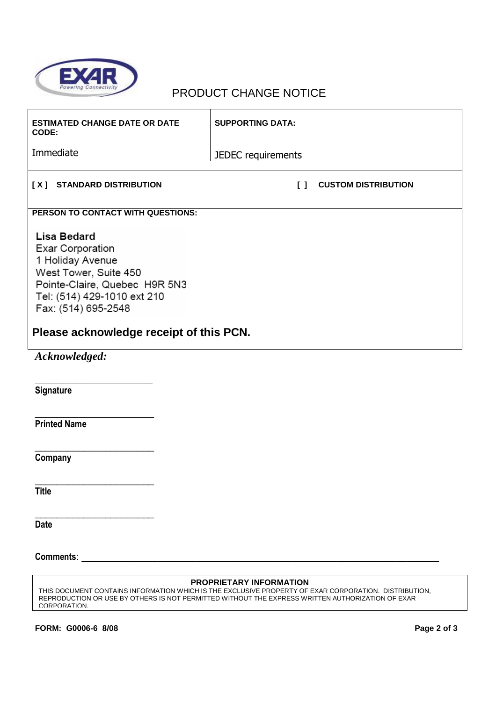

## PRODUCT CHANGE NOTICE

| <b>ESTIMATED CHANGE DATE OR DATE</b><br>CODE:                                                                                                                                     | <b>SUPPORTING DATA:</b>                                               |
|-----------------------------------------------------------------------------------------------------------------------------------------------------------------------------------|-----------------------------------------------------------------------|
| Immediate                                                                                                                                                                         | JEDEC requirements                                                    |
|                                                                                                                                                                                   |                                                                       |
| [X] STANDARD DISTRIBUTION                                                                                                                                                         | <b>CUSTOM DISTRIBUTION</b><br>$\begin{smallmatrix}1\end{smallmatrix}$ |
| PERSON TO CONTACT WITH QUESTIONS:                                                                                                                                                 |                                                                       |
| <b>Lisa Bedard</b><br><b>Exar Corporation</b><br>1 Holiday Avenue<br>West Tower, Suite 450<br>Pointe-Claire, Quebec H9R 5N3<br>Tel: (514) 429-1010 ext 210<br>Fax: (514) 695-2548 |                                                                       |
| Please acknowledge receipt of this PCN.                                                                                                                                           |                                                                       |
| Acknowledged:                                                                                                                                                                     |                                                                       |
| Signature                                                                                                                                                                         |                                                                       |
| <b>Printed Name</b>                                                                                                                                                               |                                                                       |
| Company                                                                                                                                                                           |                                                                       |
| <b>Title</b>                                                                                                                                                                      |                                                                       |
| <b>Date</b>                                                                                                                                                                       |                                                                       |
|                                                                                                                                                                                   |                                                                       |
|                                                                                                                                                                                   | PROPRIETARY INFORMATION                                               |

THIS DOCUMENT CONTAINS INFORMATION WHICH IS THE EXCLUSIVE PROPERTY OF EXAR CORPORATION. DISTRIBUTION, REPRODUCTION OR USE BY OTHERS IS NOT PERMITTED WITHOUT THE EXPRESS WRITTEN AUTHORIZATION OF EXAR CORPORATION.